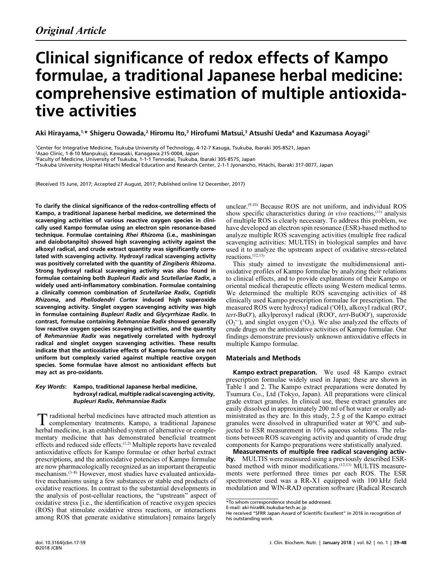# Clinical significance of redox effects of Kampo formulae, a traditional Japanese herbal medicine: comprehensive estimation of multiple antioxida tive activities

Aki Hirayama,<sup>1,</sup>\* Shigeru Oowada,<sup>2</sup> Hiromu Ito,<sup>3</sup> Hirofumi Matsui,<sup>3</sup> Atsushi Ueda<sup>4</sup> and Kazumasa Aoyagi<sup>1</sup>

<sup>1</sup>Center for Integrative Medicine, Tsukuba University of Technology, 4-12-7 Kasuga, Tsukuba, Ibaraki 305-8521, Japan<br><sup>2</sup>000 Clinic 1.8.10 Manpukuji, Kawasaki, Kapagawa 215,0004, Japan

Asao Clinic, 1-8-10 Manpukuji, Kawasaki, Kanagawa 215-0004, Japan

Tsukuba University Hospital Hitachi Medical Education and Research Center, 2-1-1 Jyonancho, Hitachi, Ibaraki 317-0077, Japan

(Received 15 June, 2017; Accepted 27 August, 2017; Published online 12 December, 2017)

To clarify the clinical significance of the redox-controlling effects of Kampo, a traditional Japanese herbal medicine, we determined the scavenging activities of various reactive oxygen species in clini cally used Kampo formulae using an electron spin resonance-based technique. Formulae containing Rhei Rhizoma (i.e., mashiningan and daiobotanpito) showed high scavenging activity against the alkoxyl radical, and crude extract quantity was significantly corre lated with scavenging activity. Hydroxyl radical scavenging activity was positively correlated with the quantity of Zingiberis Rhizoma. Strong hydroxyl radical scavenging activity was also found in formulae containing both Bupleuri Radix and Scutellariae Radix, a widely used anti-inflammatory combination. Formulae containing a clinically common combination of Scutellariae Radix, Coptidis Rhizoma, and Phellodendri Cortex induced high superoxide scavenging activity. Singlet oxygen scavenging activity was high in formulae containing Bupleuri Radix and Glycyrrhizae Radix. In contrast, formulae containing Rehmanniae Radix showed generally low reactive oxygen species scavenging activities, and the quantity of Rehmanniae Radix was negatively correlated with hydroxyl radical and singlet oxygen scavenging activities. These results indicate that the antioxidative effects of Kampo formulae are not uniform but complexly varied against multiple reactive oxygen species. Some formulae have almost no antioxidant effects but may act as pro-oxidants.

### Key Words: Kampo, traditional Japanese herbal medicine, hydroxyl radical, multiple radical scavenging activity, Bupleuri Radix, Rehmanniae Radix

Introductional herbal medicines have attracted much attention as T raditional herbal medicines have attracted much attention as<br>
complementary treatments. Kampo, a traditional Japanese herbal medicine, is an established system of alternative or complementary medicine that has demonstrated beneficial treatment effects and reduced side effects.(1,2) Multiple reports have revealed antioxidative effects for Kampo formulae or other herbal extract prescriptions, and the antioxidative potencies of Kampo formulae are now pharmacologically recognized as an important therapeutic mechanism.(3–8) However, most studies have evaluated antioxidative mechanisms using a few substances or stable end products of oxidative reactions. In contrast to the substantial developments in the analysis of post-cellular reactions, the "upstream" aspect of oxidative stress [i.e., the identification of reactive oxygen species (ROS) that stimulate oxidative stress reactions, or interactions among ROS that generate oxidative stimulators] remains largely

unclear. $(9,10)$  Because ROS are not uniform, and individual ROS show specific characteristics during in vivo reactions, $(11)$  analysis of multiple ROS is clearly necessary. To address this problem, we have developed an electron spin resonance (ESR)-based method to analyze multiple ROS scavenging activities (multiple free radical scavenging activities: MULTIS) in biological samples and have used it to analyze the upstream aspect of oxidative stress-related reactions.(12,13)

This study aimed to investigate the multidimensional antioxidative profiles of Kampo formulae by analyzing their relations to clinical effects, and to provide explanations of their Kampo or oriental medical therapeutic effects using Western medical terms. We determined the multiple ROS scavenging activities of 48 clinically used Kampo prescription formulae for prescription. The measured ROS were hydroxyl radical ('OH), alkoxyl radical (RO', tert-BuO'), alkylperoxyl radical (ROO', tert-BuOO'), superoxide  $(O_2^-)$ , and singlet oxygen ( $^1O_2$ ). We also analyzed the effects of ⊔¤<br>as<br>--] crude drugs on the antioxidative activities of Kampo formulae. Our findings demonstrate previously unknown antioxidative effects in multiple Kampo formulae.

#### Materials and Methods

Kampo extract preparation. We used 48 Kampo extract prescription formulae widely used in Japan; these are shown in Table 1 and 2. The Kampo extract preparations were donated by Tsumura Co., Ltd (Tokyo, Japan). All preparations were clinical grade extract granules. In clinical use, these extract granules are easily dissolved in approximately 200 ml of hot water or orally administrated as they are. In this study, 2.5 g of the Kampo extract granules were dissolved in ultrapurified water at 90°C and subjected to ESR measurement in 10% aqueous solutions. The relations between ROS scavenging activity and quantity of crude drug components for Kampo preparations were statistically analyzed.

Measurements of multiple free radical scavenging activ ity. MULTIS were measured using a previously described ESRbased method with minor modifications.(12,13) MULTIS measurements were performed three times per each ROS. The ESR spectrometer used was a RR-X1 equipped with 100 kHz field modulation and WIN-RAD operation software (Radical Research

<sup>&</sup>lt;sup>3</sup>Faculty of Medicine, University of Tsukuba, 1-1-1 Tennodai, Tsukuba, Ibaraki 305-8575, Japan<br>Tsukuba University Heraital Hitarbi Medical Education and Berearch Contex, 2,1,1 Juga anche

<sup>\*</sup>To whom correspondence should be addressed.

E-mail: aki-hira@k.tsukuba-tech.ac.jp

He received "SFRR Japan Award of Scientific Excellent" in 2016 in recognition of his outstanding work.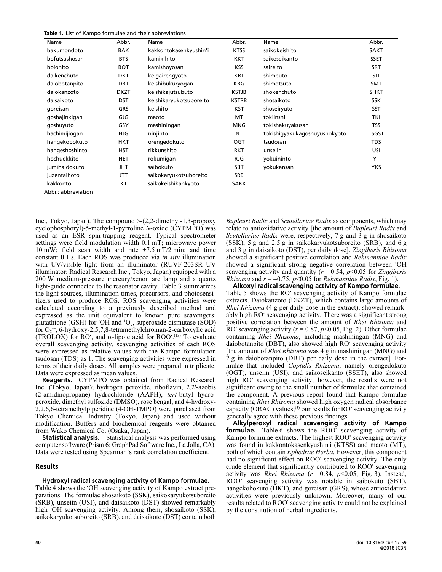|  |  |  | Table 1. List of Kampo formulae and their abbreviations |
|--|--|--|---------------------------------------------------------|
|  |  |  |                                                         |

| Name           | Abbr.       | Name                    | Abbr.        | Name                          | Abbr.        |
|----------------|-------------|-------------------------|--------------|-------------------------------|--------------|
| bakumondoto    | <b>BAK</b>  | kakkontokasenkyushin'i  | <b>KTSS</b>  | saikokeishito                 | <b>SAKT</b>  |
| bofutsushosan  | <b>BTS</b>  | kamikihito              | <b>KKT</b>   | saikoseikanto                 | <b>SSET</b>  |
| boiohito       | <b>BOT</b>  | kamishoyosan            | <b>KSS</b>   | saireito                      | <b>SRT</b>   |
| daikenchuto    | <b>DKT</b>  | keigairengyoto          | <b>KRT</b>   | shimbuto                      | SIT          |
| daiobotanpito  | <b>DBT</b>  | keishibukuryogan        | <b>KBG</b>   | shimotsuto                    | <b>SMT</b>   |
| daiokanzoto    | <b>DKZT</b> | keishikajutsubuto       | KSTJB        | shokenchuto                   | <b>SHKT</b>  |
| daisaikoto     | <b>DST</b>  | keishikaryukotsuboreito | <b>KSTRB</b> | shosaikoto                    | <b>SSK</b>   |
| goreisan       | <b>GRS</b>  | keishito                | <b>KST</b>   | shoseiryuto                   | SST          |
| goshajinkigan  | GJG         | maoto                   | МT           | tokiinshi                     | <b>TKI</b>   |
| goshuyuto      | GSY         | mashiningan             | MNG          | tokishakuyakusan              | <b>TSS</b>   |
| hachimijiogan  | HJG         | ninjinto                | NT           | tokishiqyakukaqoshuyushokyoto | <b>TSGST</b> |
| hangekobokuto  | <b>HKT</b>  | orengedokuto            | OGT          | tsudosan                      | <b>TDS</b>   |
| hangeshoshinto | HST         | rikkunshito             | <b>RKT</b>   | unseiin                       | USI          |
| hochuekkito    | <b>HET</b>  | rokumigan               | <b>RJG</b>   | vokuininto                    | YT           |
| jumihaidokuto  | <b>JHT</b>  | saibokuto               | <b>SBT</b>   | yokukansan                    | <b>YKS</b>   |
| juzentaihoto   | JTT         | saikokaryukotsuboreito  | <b>SRB</b>   |                               |              |
| kakkonto       | KT          | saikokeishikankyoto     | <b>SAKK</b>  |                               |              |

Abbr.: abbreviation

Inc., Tokyo, Japan). The compound 5-(2,2-dimethyl-1,3-propoxy cyclophosphoryl)-5-methyl-1-pyrroline N-oxide (CYPMPO) was used as an ESR spin-trapping reagent. Typical spectrometer settings were field modulation width 0.1 mT; microwave power 10 mW: field scan width and rate  $\pm$ 7.5 mT/2 min; and time constant 0.1 s. Each ROS was produced via in situ illumination with UV/visible light from an illuminator (RUVF-203SR UV illuminator; Radical Research Inc., Tokyo, Japan) equipped with a 200 W medium-pressure mercury/xenon arc lamp and a quartz light-guide connected to the resonator cavity. Table 3 summarizes the light sources, illumination times, precursors, and photosensitizers used to produce ROS. ROS scavenging activities were calculated according to a previously described method and expressed as the unit equivalent to known pure scavengers: glutathione (GSH) for 'OH and  ${}^{1}O_{2}$ , superoxide dismutase (SOD) for  $O_2$ <sup>--</sup>, 6-hydroxy-2,5,7,8-tetramethylchroman-2-carboxylic acid a<br>ss<br>hi (TROLOX) for RO<sup>\*</sup>, and  $\alpha$ -lipoic acid for ROO<sup>\*</sup>.<sup>(13)</sup> To evaluate overall scavenging activity, scavenging activities of each ROS were expressed as relative values with the Kampo formulation tsudosan (TDS) as 1. The scavenging activities were expressed in terms of their daily doses. All samples were prepared in triplicate. Data were expressed as mean values.

Reagents. CYPMPO was obtained from Radical Research Inc. (Tokyo, Japan); hydrogen peroxide, riboflavin, 2,2'-azobis (2-amidinopropane) hydrochloride (AAPH), tert-butyl hydroperoxide, dimethyl sulfoxide (DMSO), rose bengal, and 4-hydroxy-2,2,6,6-tetramethylpiperidine (4-OH-TMPO) were purchased from Tokyo Chemical Industry (Tokyo, Japan) and used without modification. Buffers and biochemical reagents were obtained from Wako Chemical Co. (Osaka, Japan).

**Statistical analysis.** Statistical analysis was performed using computer software (Prism 6; GraphPad Software Inc., La Jolla, CA). Data were tested using Spearman's rank correlation coefficient.

#### Results

#### Hydroxyl radical scavenging activity of Kampo formulae.

Table 4 shows the • OH scavenging activity of Kampo extract preparations. The formulae shosaikoto (SSK), saikokaryukotsuboreito (SRB), unseiin (USI), and daisaikoto (DST) showed remarkably high • OH scavenging activity. Among them, shosaikoto (SSK), saikokaryukotsuboreito (SRB), and daisaikoto (DST) contain both Bupleuri Radix and Scutellariae Radix as components, which may relate to antioxidative activity [the amount of *Bupleuri Radix* and Scutellariae Radix were, respectively,  $7 g$  and  $3 g$  in shosaikoto (SSK), 5 g and 2.5 g in saikokaryukotsuboreito (SRB), and 6 g and 3 g in daisaikoto (DST), per daily dose]. Zingiberis Rhizoma showed a significant positive correlation and Rehmanniae Radix showed a significant strong negative correlation between • OH scavenging activity and quantity ( $r = 0.54$ ,  $p < 0.05$  for Zingiberis Rhizoma and  $r = -0.75$ ,  $p < 0.05$  for Rehmanniae Radix, Fig. 1).

Alkoxyl radical scavenging activity of Kampo formulae. Table 5 shows the RO' scavenging activity of Kampo formulae extracts. Daiokanzoto (DKZT), which contains large amounts of Rhei Rhizoma (4 g per daily dose in the extract), showed remarkably high RO<sup>·</sup> scavenging activity. There was a significant strong positive correlation between the amount of Rhei Rhizoma and RO<sup>•</sup> scavenging activity ( $r = 0.87$ ,  $p < 0.05$ , Fig. 2). Other formulae containing Rhei Rhizoma, including mashiningan (MNG) and daiobotanpito (DBT), also showed high RO' scavenging activity [the amount of Rhei Rhizoma was 4 g in mashiningan (MNG) and 2 g in daiobotanpito (DBT) per daily dose in the extract]. Formulae that included Coptidis Rhizoma, namely orengedokuto (OGT), unseiin (USI), and saikoseikanto (SSET), also showed high RO<sup>·</sup> scavenging activity; however, the results were not significant owing to the small number of formulae that contained the component. A previous report found that Kampo formulae containing Rhei Rhizoma showed high oxygen radical absorbance capacity (ORAC) values; $(3)$  our results for RO $\degree$  scavenging activity generally agree with these previous findings.

Alkylperoxyl radical scavenging activity of Kampo formulae. Table 6 shows the ROO' scavenging activity of Kampo formulae extracts. The highest ROO' scavenging activity was found in kakkontokasenkyushin'i (KTSS) and maoto (MT), both of which contain Ephedrae Herba. However, this component had no significant effect on ROO' scavenging activity. The only crude element that significantly contributed to ROO• scavenging activity was *Rhei Rhizoma* ( $r = 0.84$ ,  $p < 0.05$ , Fig. 3). Instead, ROO• scavenging activity was notable in saibokuto (SBT), hangekobokuto (HKT), and goreisan (GRS), whose antioxidative activities were previously unknown. Moreover, many of our results related to ROO' scavenging activity could not be explained by the constitution of herbal ingredients.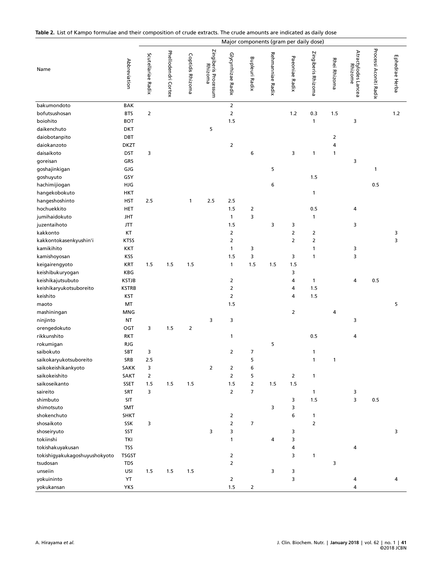Table 2. List of Kampo formulae and their composition of crude extracts. The crude amounts are indicated as daily dose

|                               |              |                    |                     |                  |                                 |                       |                       | Major components (gram per daily dose) |                |                    |              |                                |                        |                |
|-------------------------------|--------------|--------------------|---------------------|------------------|---------------------------------|-----------------------|-----------------------|----------------------------------------|----------------|--------------------|--------------|--------------------------------|------------------------|----------------|
| Name                          | Abbreviation | Scutellariae Radix | Phellodendri Cortex | Coptidis Rhizoma | Zingiberis Processum<br>Rhizoma | Glycyrrhizae Radix    | <b>Bupleuri Radix</b> | Rehmanniae Radix                       | Paeoniae Radix | Zingiberis Rhizoma | Rhei Rhizoma | Atractylodes Lancea<br>Rhizome | Processi Aconiti Radix | Ephedrae Herba |
| bakumondoto                   | BAK          |                    |                     |                  |                                 | $\overline{2}$        |                       |                                        |                |                    |              |                                |                        |                |
| bofutsushosan                 | <b>BTS</b>   | $\overline{2}$     |                     |                  |                                 | $\overline{2}$        |                       |                                        | $1.2$          | 0.3                | 1.5          |                                |                        | $1.2$          |
| boiohito                      | <b>BOT</b>   |                    |                     |                  |                                 | 1.5                   |                       |                                        |                | 1                  |              | 3                              |                        |                |
| daikenchuto                   | <b>DKT</b>   |                    |                     |                  | 5                               |                       |                       |                                        |                |                    |              |                                |                        |                |
| daiobotanpito                 | DBT          |                    |                     |                  |                                 |                       |                       |                                        |                |                    | 2            |                                |                        |                |
| daiokanzoto                   | <b>DKZT</b>  |                    |                     |                  |                                 | $\overline{2}$        |                       |                                        |                |                    | 4            |                                |                        |                |
| daisaikoto                    | DST          | 3                  |                     |                  |                                 |                       | 6                     |                                        | 3              | 1                  | 1            |                                |                        |                |
| goreisan                      | GRS          |                    |                     |                  |                                 |                       |                       |                                        |                |                    |              | 3                              |                        |                |
| goshajinkigan                 | GJG          |                    |                     |                  |                                 |                       |                       | 5                                      |                |                    |              |                                | 1                      |                |
| goshuyuto                     | GSY          |                    |                     |                  |                                 |                       |                       |                                        |                | 1.5                |              |                                |                        |                |
| hachimijiogan                 | HJG          |                    |                     |                  |                                 |                       |                       | 6                                      |                |                    |              |                                | 0.5                    |                |
| hangekobokuto                 | HKT          |                    |                     |                  |                                 |                       |                       |                                        |                | 1                  |              |                                |                        |                |
| hangeshoshinto                | HST          | 2.5                |                     | 1                | 2.5                             | 2.5                   |                       |                                        |                |                    |              |                                |                        |                |
| hochuekkito                   | HET          |                    |                     |                  |                                 | 1.5                   | $\overline{2}$        |                                        |                | 0.5                |              | 4                              |                        |                |
| jumihaidokuto                 | <b>JHT</b>   |                    |                     |                  |                                 | $\mathbf{1}$          | 3                     |                                        |                | 1                  |              |                                |                        |                |
| juzentaihoto                  | <b>JTT</b>   |                    |                     |                  |                                 | 1.5                   |                       | 3                                      | 3              |                    |              | 3                              |                        |                |
| kakkonto                      | KT           |                    |                     |                  |                                 | $\overline{2}$        |                       |                                        | 2              | 2                  |              |                                |                        | 3              |
| kakkontokasenkyushin'i        | <b>KTSS</b>  |                    |                     |                  |                                 | 2                     |                       |                                        | $\mathsf{2}$   | 2                  |              |                                |                        | 3              |
| kamikihito                    | KKT          |                    |                     |                  |                                 | $\mathbf{1}$          | 3                     |                                        |                | 1                  |              | 3                              |                        |                |
| kamishoyosan                  | KSS          |                    |                     |                  |                                 | 1.5                   | 3                     |                                        | 3              | 1                  |              | 3                              |                        |                |
| keigairengyoto                | <b>KRT</b>   | 1.5                | 1.5                 | 1.5              |                                 | $\mathbf{1}$          | 1.5                   | 1.5                                    | 1.5            |                    |              |                                |                        |                |
| keishibukuryogan              | KBG          |                    |                     |                  |                                 |                       |                       |                                        | 3              |                    |              |                                |                        |                |
| keishikajutsubuto             | <b>KSTJB</b> |                    |                     |                  |                                 | $\overline{2}$        |                       |                                        | 4              | 1                  |              | 4                              | 0.5                    |                |
| keishikaryukotsuboreito       | <b>KSTRB</b> |                    |                     |                  |                                 | $\overline{2}$        |                       |                                        | 4              | 1.5                |              |                                |                        |                |
| keishito<br>maoto             | KST<br>MT    |                    |                     |                  |                                 | $\overline{2}$<br>1.5 |                       |                                        | 4              | 1.5                |              |                                |                        | 5              |
| mashiningan                   | <b>MNG</b>   |                    |                     |                  |                                 |                       |                       |                                        | 2              |                    | 4            |                                |                        |                |
| ninjinto                      | <b>NT</b>    |                    |                     |                  | 3                               | 3                     |                       |                                        |                |                    |              | 3                              |                        |                |
| orengedokuto                  | OGT          | 3                  | 1.5                 | $\overline{2}$   |                                 |                       |                       |                                        |                |                    |              |                                |                        |                |
| rikkunshito                   | RKT          |                    |                     |                  |                                 | 1                     |                       |                                        |                | 0.5                |              | 4                              |                        |                |
|                               | <b>RJG</b>   |                    |                     |                  |                                 |                       |                       | 5                                      |                |                    |              |                                |                        |                |
| rokumigan<br>saibokuto        | SBT          | 3                  |                     |                  |                                 | $\overline{2}$        | $\overline{7}$        |                                        |                | 1                  |              |                                |                        |                |
| saikokaryukotsuboreito        | SRB          | 2.5                |                     |                  |                                 |                       |                       |                                        |                |                    |              |                                |                        |                |
| saikokeishikankyoto           | SAKK         | 3                  |                     |                  | $\overline{2}$                  | $\overline{2}$        | ь<br>6                |                                        |                |                    | 1            |                                |                        |                |
| saikokeishito                 | SAKT         | $\overline{2}$     |                     |                  |                                 | $\overline{2}$        | 5                     |                                        | $\overline{2}$ | $\mathbf{1}$       |              |                                |                        |                |
| saikoseikanto                 | SSET         | 1.5                | 1.5                 | 1.5              |                                 | 1.5                   | $\overline{2}$        | 1.5                                    | 1.5            |                    |              |                                |                        |                |
| saireito                      | SRT          | 3                  |                     |                  |                                 | $\overline{2}$        | $\overline{7}$        |                                        |                | $\mathbf{1}$       |              | 3                              |                        |                |
| shimbuto                      | SIT          |                    |                     |                  |                                 |                       |                       |                                        | 3              | 1.5                |              | 3                              | 0.5                    |                |
| shimotsuto                    | SMT          |                    |                     |                  |                                 |                       |                       | 3                                      | 3              |                    |              |                                |                        |                |
| shokenchuto                   | <b>SHKT</b>  |                    |                     |                  |                                 | 2                     |                       |                                        | 6              | 1                  |              |                                |                        |                |
| shosaikoto                    | SSK          | 3                  |                     |                  |                                 | $\overline{2}$        | $\overline{7}$        |                                        |                | 2                  |              |                                |                        |                |
| shoseiryuto                   | SST          |                    |                     |                  | 3                               | 3                     |                       |                                        | 3              |                    |              |                                |                        | 3              |
| tokiinshi                     | TKI          |                    |                     |                  |                                 | 1                     |                       | 4                                      | 3              |                    |              |                                |                        |                |
| tokishakuyakusan              | <b>TSS</b>   |                    |                     |                  |                                 |                       |                       |                                        | 4              |                    |              | 4                              |                        |                |
| tokishigyakukagoshuyushokyoto | <b>TSGST</b> |                    |                     |                  |                                 | $\overline{2}$        |                       |                                        | 3              | $\mathbf{1}$       |              |                                |                        |                |
| tsudosan                      | TDS          |                    |                     |                  |                                 | $\overline{2}$        |                       |                                        |                |                    | 3            |                                |                        |                |
| unseiin                       | USI          | 1.5                | 1.5                 | 1.5              |                                 |                       |                       | 3                                      | 3              |                    |              |                                |                        |                |
| yokuininto                    | YT           |                    |                     |                  |                                 | $\overline{2}$        |                       |                                        | 3              |                    |              | 4                              |                        | 4              |
| yokukansan                    | <b>YKS</b>   |                    |                     |                  |                                 | 1.5                   | $\overline{2}$        |                                        |                |                    |              | 4                              |                        |                |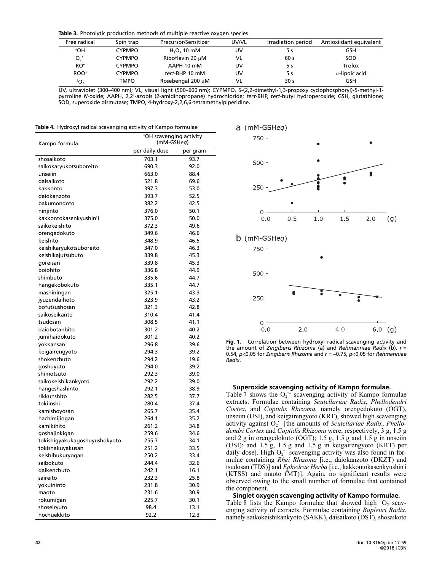Table 3. Photolytic production methods of multiple reactive oxygen species

| Free radical    | Spin trap     | Precursor/Sensitizer | UV/VL | Irradiation period | Antioxiidant equivalent |
|-----------------|---------------|----------------------|-------|--------------------|-------------------------|
| ٠OН             | <b>CYPMPO</b> | $H_2O_2$ 10 mM       | UV    |                    | GSH                     |
| O <sub>2</sub>  | <b>CYPMPO</b> | Riboflavin 20 µM     | VL    | 60 s               | SOD                     |
| RO <sup>.</sup> | <b>CYPMPO</b> | AAPH 10 mM           | UV    | 5 s                | <b>Trolox</b>           |
| ROO'            | <b>CYPMPO</b> | tert-BHP 10 mM       | UV    | 5 s                | $\alpha$ -lipoic acid   |
| 10 <sub>2</sub> | TMPO          | Rosebengal 200 µM    | VL    | 30 s               | GSH                     |

UV, ultraviolet (300–400 nm); VL, visual light (500–600 nm); CYPMPO, 5-(2,2-dimethyl-1,3-propoxy cyclophosphoryl)-5-methyl-1 pyrroline N-oxide; AAPH, 2,2'-azobis (2-amidinopropane) hydrochloride; *tert*-BHP, *tert*-butyl hydroperoxide; GSH, glutathione; SOD, superoxide dismutase; TMPO, 4-hydroxy-2,2,6,6-tetramethylpiperidine.

Radix.

Table 4. Hydroxyl radical scavenging activity of Kampo formulae

| Kampo formula                 | *OH scavenging activity<br>(mM-GSHeq) |          |  |  |
|-------------------------------|---------------------------------------|----------|--|--|
|                               | per daily dose                        | per gram |  |  |
| shosaikoto                    | 703.1                                 | 93.7     |  |  |
| saikokaryukotsuboreito        | 690.3                                 | 92.0     |  |  |
| unseiin                       | 663.0                                 | 88.4     |  |  |
| daisaikoto                    | 521.8                                 | 69.6     |  |  |
| kakkonto                      | 397.3                                 | 53.0     |  |  |
| daiokanzoto                   | 393.7                                 | 52.5     |  |  |
| bakumondoto                   | 382.2                                 | 42.5     |  |  |
| ninjinto                      | 376.0                                 | 50.1     |  |  |
| kakkontokasenkyushin'i        | 375.0                                 | 50.0     |  |  |
| saikokeishito                 | 372.3                                 | 49.6     |  |  |
| orengedokuto                  | 349.6                                 | 46.6     |  |  |
| keishito                      | 348.9                                 | 46.5     |  |  |
| keishikaryukotsuboreito       | 347.0                                 | 46.3     |  |  |
| keishikajutsubuto             | 339.8                                 | 45.3     |  |  |
| goreisan                      | 339.8                                 | 45.3     |  |  |
| boiohito                      | 336.8                                 | 44.9     |  |  |
| shimbuto                      | 335.6                                 | 44.7     |  |  |
| hangekobokuto                 | 335.1                                 | 44.7     |  |  |
| mashiningan                   | 325.1                                 | 43.3     |  |  |
| jyuzendaihoto                 | 323.9                                 | 43.2     |  |  |
| bofutsushosan                 | 321.3                                 | 42.8     |  |  |
| saikoseikanto                 | 310.4                                 | 41.4     |  |  |
| tsudosan                      | 308.5                                 | 41.1     |  |  |
| daiobotanbito                 | 301.2                                 | 40.2     |  |  |
| jumihaidokuto                 | 301.2                                 | 40.2     |  |  |
| yokkansan                     | 296.8                                 | 39.6     |  |  |
| keigairengyoto                | 294.3                                 | 39.2     |  |  |
| shokenchuto                   | 294.2                                 | 19.6     |  |  |
| goshuyuto                     | 294.0                                 | 39.2     |  |  |
| shimotsuto                    | 292.3                                 | 39.0     |  |  |
| saikokeishikankyoto           | 292.2                                 | 39.0     |  |  |
| hangeshashinto                | 292.1                                 | 38.9     |  |  |
| rikkunshito                   | 282.5                                 | 37.7     |  |  |
| tokiinshi                     | 280.4                                 | 37.4     |  |  |
| kamishoyosan                  | 265.7                                 | 35.4     |  |  |
| hachimijiogan                 | 264.1                                 | 35.2     |  |  |
| kamikihito                    | 261.2                                 | 34.8     |  |  |
| goshajinkigan                 | 259.6                                 | 34.6     |  |  |
| tokishiqyakukaqoshuyushokyoto | 255.7                                 | 34.1     |  |  |
| tokishakuyakusan              | 251.2                                 | 33.5     |  |  |
| keishibukuryogan              | 250.2                                 | 33.4     |  |  |
| saibokuto                     | 244.4                                 | 32.6     |  |  |
| daikenchuto                   | 242.1                                 | 16.1     |  |  |
| saireito                      | 232.3                                 | 25.8     |  |  |
| yokuininto                    | 231.8                                 | 30.9     |  |  |
| maoto                         | 231.6                                 | 30.9     |  |  |
| rokumigan                     | 225.7                                 | 30.1     |  |  |
| shoseiryuto                   | 98.4                                  | 13.1     |  |  |
| hochuekkito                   | 92.2                                  | 12.3     |  |  |



 $\overline{0}$ 0.0 fig. 1. Correlation between hydroxyl radical scavenging activity and<br>the amount of *Zingiberis Rhizoma* (a) and *Rehmanniae Radix* (b). r =<br>0.54, p<0.05 for *Zingiberis Rhizoma* and r = −0.75, p<0.05 for *Rehmanniae* **Fig. 1.** Correlation between hydroxyl radical scavenging activity and the state of the state that the state th<br>the amount of *Zingiberis Rhizoma (a) and Rehmanniae Radix (b) r* the amount of Zingiberis Rhizoma (a) and Rehmanniae Radix (b).  $r = 0.54$ , p<0.05 for Zingiberis Rhizoma and  $r = -0.75$ , p<0.05 for Rehmanniae

# Superoxide scavenging activity of Kampo formulae. •<br>•−

Table 7 shows the  $O_2$ <sup>-</sup> scavenging activity of Kampo formulae extracts. Formulae containing Scutellariae Radix, Phellodendri Cortex, and Coptidis Rhizoma, namely orengedokuto (OGT), unseiin (USI), and keigairengyoto (KRT), showed high scavenging activity against  $O_2$ <sup> $\sim$ </sup> [the amounts of *Scutellariae Radix, Phello-*;<br>ic<br>•− dendri Cortex and Coptidis Rhizoma were, respectively, 3 g, 1.5 g and 2 g in orengedokuto (OGT); 1.5 g, 1.5 g and 1.5 g in unseiin (USI); and 1.5 g, 1.5 g and 1.5 g in keigairengyoto (KRT) per daily dose]. High  $O_2$ <sup>-</sup> scavenging activity was also found in for-יµ<br>ה><br>−− mulae containing Rhei Rhizoma [i.e., daiokanzoto (DKZT) and tsudosan (TDS)] and Ephedrae Herba [i.e., kakkontokasenkyushin'i (KTSS) and maoto (MT)]. Again, no significant results were observed owing to the small number of formulae that contained the component.

#### Singlet oxygen scavenging activity of Kampo formulae.

Table 8 lists the Kampo formulae that showed high  ${}^{1}O_{2}$  scavenging activity of extracts. Formulae containing Bupleuri Radix, namely saikokeishikankyoto (SAKK), daisaikoto (DST), shosaikoto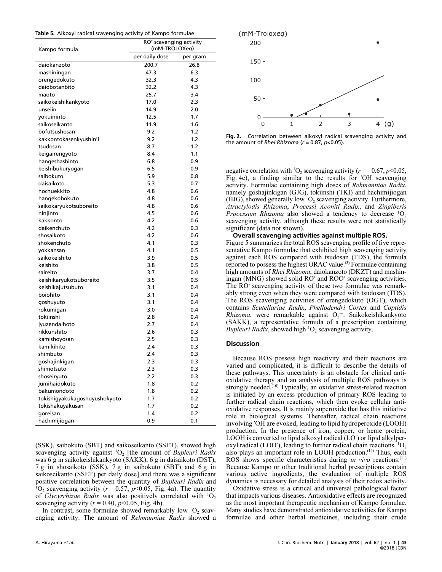| Table 5. Alkoxyl radical scavenging activity of Kampo formulae |  |  |  |
|----------------------------------------------------------------|--|--|--|
|                                                                |  |  |  |

|                               | RO' scavenging activity<br>(mM-TROLOXeq) |          |  |  |
|-------------------------------|------------------------------------------|----------|--|--|
| Kampo formula                 | per daily dose                           | per gram |  |  |
| daiokanzoto                   | 200.7                                    | 26.8     |  |  |
| mashiningan                   | 47.3                                     | 6.3      |  |  |
| orengedokuto                  | 32.3                                     | 4.3      |  |  |
| daiobotanbito                 | 32.2                                     | 4.3      |  |  |
| maoto                         | 25.7                                     | 3.4      |  |  |
| saikokeishikankyoto           | 17.0                                     | 2.3      |  |  |
| unseiin                       | 14.9                                     | 2.0      |  |  |
| yokuininto                    | 12.5                                     | 1.7      |  |  |
| saikoseikanto                 | 11.9                                     | 1.6      |  |  |
| bofutsushosan                 | 9.2                                      | 1.2      |  |  |
| kakkontokasenkyushin'i        | 9.2                                      | 1.2      |  |  |
| tsudosan                      | 8.7                                      | 1.2      |  |  |
| keigairengyoto                | 8.4                                      | 1.1      |  |  |
| hangeshashinto                | 6.8                                      | 0.9      |  |  |
| keishibukuryogan              | 6.5                                      | 0.9      |  |  |
| saibokuto                     | 5.9                                      | 0.8      |  |  |
| daisaikoto                    | 5.3                                      | 0.7      |  |  |
| hochuekkito                   | 4.8                                      | 0.6      |  |  |
| hangekobokuto                 | 4.8                                      | 0.6      |  |  |
| saikokaryukotsuboreito        | 4.8                                      | 0.6      |  |  |
| ninjinto                      | 4.5                                      | 0.6      |  |  |
| kakkonto                      | 4.2                                      | 0.6      |  |  |
| daikenchuto                   | 4.2                                      | 0.3      |  |  |
| shosaikoto                    | 4.2                                      | 0.6      |  |  |
| shokenchuto                   | 4.1                                      | 0.3      |  |  |
| vokkansan                     | 4.1                                      | 0.5      |  |  |
| saikokeishito                 | 3.9                                      | 0.5      |  |  |
| keishito                      | 3.8                                      | 0.5      |  |  |
| saireito                      | 3.7                                      | 0.4      |  |  |
| keishikaryukotsuboreito       | 3.5                                      | 0.5      |  |  |
| keishikajutsubuto             | 3.1                                      | 0.4      |  |  |
| boiohito                      | 3.1                                      | 0.4      |  |  |
| goshuyuto                     | 3.1                                      | 0.4      |  |  |
| rokumigan                     | 3.0                                      | 0.4      |  |  |
| tokiinshi                     | 2.8                                      | 0.4      |  |  |
| jyuzendaihoto                 | 2.7                                      | 0.4      |  |  |
| rikkunshito                   | 2.6                                      | 0.3      |  |  |
| kamishoyosan                  | 2.5                                      | 0.3      |  |  |
| kamikihito                    | 2.4                                      | 0.3      |  |  |
| shimbuto                      | 2.4                                      | 0.3      |  |  |
| goshajinkigan                 | 2.3                                      | 0.3      |  |  |
| shimotsuto                    | 2.3                                      | 0.3      |  |  |
| shoseiryuto                   | 2.2                                      | 0.3      |  |  |
| jumihaidokuto                 | 1.8                                      | 0.2      |  |  |
| bakumondoto                   | 1.8                                      | 0.2      |  |  |
| tokishigyakukagoshuyushokyoto | 1.7                                      | 0.2      |  |  |
| tokishakuyakusan              | 1.7                                      | 0.2      |  |  |
| goreisan                      | 1.4                                      | 0.2      |  |  |
| hachimijiogan                 | 0.9                                      | 0.1      |  |  |

(SSK), saibokuto (SBT) and saikoseikanto (SSET), showed high scavenging activity against  ${}^{1}O_{2}$  [the amount of *Bupleuri Radix* was 6 g in saikokeishikankyoto (SAKK), 6 g in daisaikoto (DST), 7 g in shosaikoto (SSK), 7 g in saibokuto (SBT) and 6 g in saikoseikanto (SSET) per daily dose] and there was a significant positive correlation between the quantity of Bupleuri Radix and  ${}^{1}O_{2}$  scavenging activity ( $r = 0.57$ ,  $p < 0.05$ , Fig. 4a). The quantity of Glycyrrhizae Radix was also positively correlated with  ${}^{1}O_{2}$ scavenging activity ( $r = 0.40$ ,  $p < 0.05$ , Fig. 4b).

In contrast, some formulae showed remarkably low  ${}^{1}O_{2}$  scavenging activity. The amount of Rehmanniae Radix showed a



**Fig. 2.** Correlation between alkoxyl radical scavenging activity and the amount of *Rhei Rhizoma* (*r* = 0.87, *p*<0.05).<br>
negative correlation with <sup>1</sup>O<sub>2</sub> scavenging activity (*r* = -0.67, *p*<0.05, Fig. 2. Correlation between alkoxyl radical scavenging activity and the amount of Rhei Rhizoma ( $r = 0.87$ ,  $p < 0.05$ ).

Fig. 4c), a finding similar to the results for • OH scavenging activity. Formulae containing high doses of Rehmanniae Radix, namely goshajinkigan (GJG), tokiinshi (TKI) and hachimijiogan (HJG), showed generally low  ${}^{1}O_{2}$  scavenging activity. Furthermore, Atractylodis Rhizoma, Processi Aconiti Radix, and Zingiberis Processum Rhizoma also showed a tendency to decrease  ${}^{1}O_{2}$ scavenging activity, although these results were not statistically significant (data not shown).

Overall scavenging activities against multiple ROS.

Figure 5 summarizes the total ROS scavenging profile of five representative Kampo formulae that exhibited high scavenging activity against each ROS compared with tsudosan (TDS), the formula reported to possess the highest ORAC value.<sup>(3)</sup> Formulae containing high amounts of Rhei Rhizoma, daiokanzoto (DKZT) and mashiningan (MNG) showed solid RO' and ROO' scavenging activities. The RO<sup>•</sup> scavenging activity of these two formulae was remarkably strong even when they were compared with tsudosan (TDS). The ROS scavenging activities of orengedokuto (OGT), which contains Scutellariae Radix, Phellodendri Cortex and Coptidis *Rhizoma*, were remarkable against  $O_2$ <sup>-</sup>. Saikokeishikankyoto e<br>36<br>∙− (SAKK), a representative formula of a prescription containing *Bupleuri Radix*, showed high  ${}^{1}O_{2}$  scavenging activity.

### **Discussion**

Because ROS possess high reactivity and their reactions are varied and complicated, it is difficult to describe the details of these pathways. This uncertainty is an obstacle for clinical antioxidative therapy and an analysis of multiple ROS pathways is strongly needed.<sup>(10)</sup> Typically, an oxidative stress-related reaction is initiated by an excess production of primary ROS leading to further radical chain reactions, which then evoke cellular antioxidative responses. It is mainly superoxide that has this initiative role in biological systems. Thereafter, radical chain reactions involving • OH are evoked, leading to lipid hydroperoxide (LOOH) production. In the presence of iron, copper, or heme protein, LOOH is converted to lipid alkoxyl radical (LO') or lipid alkylperoxyl radical (LOO'), leading to further radical chain reactions.  ${}^{1}O_{2}$ also plays an important role in LOOH production.<sup>(14)</sup> Thus, each ROS shows specific characteristics during in vivo reactions.<sup>(11)</sup> Because Kampo or other traditional herbal prescriptions contain various active ingredients, the evaluation of multiple ROS dynamics is necessary for detailed analysis of their redox activity.

Oxidative stress is a critical and universal pathological factor that impacts various diseases. Antioxidative effects are recognized as the most important therapeutic mechanism of Kampo formulae. Many studies have demonstrated antioxidative activities for Kampo formulae and other herbal medicines, including their crude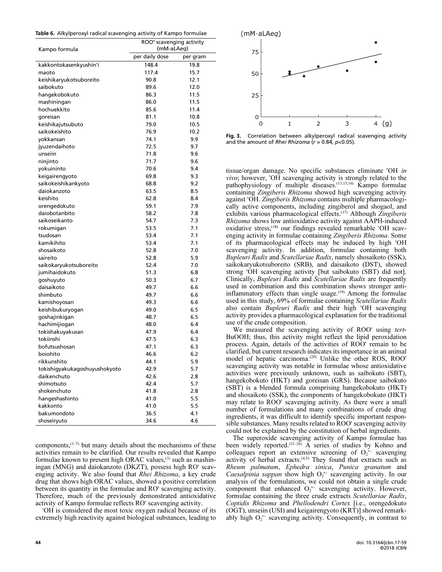| Table 6. Alkylperoxyl radical scavenging activity of Kampo formulae |  |  |  |
|---------------------------------------------------------------------|--|--|--|
|                                                                     |  |  |  |

| Kampo formula                                | ROO' scavenging activity<br>(mM-aLAeg) |          |  |  |
|----------------------------------------------|----------------------------------------|----------|--|--|
|                                              | per daily dose                         | per gram |  |  |
| kakkontokasenkyushin'i                       | 148.4                                  | 19.8     |  |  |
| maoto                                        | 117.4                                  | 15.7     |  |  |
| keishikaryukotsuboreito                      | 90.8                                   | 12.1     |  |  |
| saibokuto                                    | 89.6                                   | 12.0     |  |  |
| hangekobokuto                                | 86.3                                   | 11.5     |  |  |
| mashiningan                                  | 86.0                                   | 11.5     |  |  |
| hochuekkito                                  | 85.6                                   | 11.4     |  |  |
| goreisan                                     | 81.1                                   | 10.8     |  |  |
| keishikajutsubuto                            | 79.0                                   | 10.5     |  |  |
| saikokeishito                                | 76.9                                   | 10.2     |  |  |
| vokkansan                                    | 74.1                                   | 9.9      |  |  |
| jyuzendaihoto                                | 72.5                                   | 9.7      |  |  |
| unseiin                                      | 71.8                                   | 9.6      |  |  |
| ninjinto                                     | 71.7                                   | 9.6      |  |  |
| yokuininto                                   | 70.6                                   | 9.4      |  |  |
| keigairengyoto                               | 69.8                                   | 9.3      |  |  |
| saikokeishikankyoto                          | 68.8                                   | 9.2      |  |  |
| daiokanzoto                                  | 63.5                                   | 8.5      |  |  |
| keishito                                     | 62.8                                   | 8.4      |  |  |
| orengedokuto                                 | 59.1                                   | 7.9      |  |  |
| daiobotanbito                                | 58.2                                   | 7.8      |  |  |
| saikoseikanto                                | 54.7                                   | 7.3      |  |  |
| rokumigan                                    | 53.5                                   | 7.1      |  |  |
| tsudosan                                     | 53.4                                   | 7.1      |  |  |
| kamikihito                                   | 53.4                                   | 7.1      |  |  |
| shosaikoto                                   | 52.8                                   | 7.0      |  |  |
| saireito                                     | 52.8                                   | 5.9      |  |  |
| saikokaryukotsuboreito                       | 52.4                                   | 7.0      |  |  |
| jumihaidokuto                                | 51.3                                   | 6.8      |  |  |
| goshuyuto                                    | 50.3                                   | 6.7      |  |  |
| daisaikoto                                   | 49.7                                   | 6.6      |  |  |
| shimbuto                                     | 49.7                                   | 6.6      |  |  |
| kamishoyosan                                 | 49.3                                   | 6.6      |  |  |
| keishibukuryogan                             | 49.0                                   | 6.5      |  |  |
| goshajinkigan                                | 48.7                                   | 6.5      |  |  |
| hachimijiogan                                | 48.0                                   | 6.4      |  |  |
| tokishakuyakusan                             | 47.9                                   | 6.4      |  |  |
| tokiinshi                                    | 47.5                                   | 6.3      |  |  |
| bofutsushosan                                | 47.1                                   | 6.3      |  |  |
| boiohito                                     | 46.6                                   | 6.2      |  |  |
|                                              |                                        |          |  |  |
| rikkunshito                                  | 44.1                                   | 5.9      |  |  |
| tokishigyakukagoshuyushokyoto<br>daikenchuto | 42.9                                   | 5.7      |  |  |
|                                              | 42.6                                   | 2.8      |  |  |
| shimotsuto                                   | 42.4                                   | 5.7      |  |  |
| shokenchuto                                  | 41.8                                   | 2.8      |  |  |
| hangeshashinto                               | 41.0                                   | 5.5      |  |  |
| kakkonto                                     | 41.0                                   | 5.5      |  |  |
| bakumondoto                                  | 36.5                                   | 4.1      |  |  |
| shoseiryuto                                  | 34.6                                   | 4.6      |  |  |

components, $(3-7)$  but many details about the mechanisms of these activities remain to be clarified. Our results revealed that Kampo formulae known to present high ORAC values. $(3)$  such as mashiningan (MNG) and daiokanzoto (DKZT), possess high RO' scavenging activity. We also found that Rhei Rhizoma, a key crude drug that shows high ORAC values, showed a positive correlation between its quantity in the formulae and RO' scavenging activity. Therefore, much of the previously demonstrated antioxidative activity of Kampo formulae reflects RO' scavenging activity.

• OH is considered the most toxic oxygen radical because of its extremely high reactivity against biological substances, leading to



Fia. 3. Correlation between alkylperoxyl radical scavenging activity and the amount of Rhei Rhizoma ( $r = 0.84$ ,  $p < 0.05$ ).

tissue/organ damage. No specific substances eliminate 'OH in vivo; however, 'OH scavenging activity is strongly related to the pathophysiology of multiple diseases.(13,15,16) Kampo formulae containing Zingiberis Rhizoma showed high scavenging activity against 'OH. Zingiberis Rhizoma contains multiple pharmacologically active components, including zingiberol and shogaol, and exhibits various pharmacological effects.<sup>(17)</sup> Although Zingiberis Rhizoma shows low antioxidative activity against AAPH-induced oxidative stress, <sup>(18)</sup> our findings revealed remarkable 'OH scavenging activity in formulae containing Zingiberis Rhizoma. Some of its pharmacological effects may be induced by high • OH scavenging activity. In addition, formulae containing both Bupleuri Radix and Scutellariae Radix, namely shosaikoto (SSK), saikokaryukotsuboreito (SRB), and daisaikoto (DST), showed strong • OH scavenging activity [but saibokuto (SBT) did not]. Clinically, Bupleuri Radix and Scutellariae Radix are frequently used in combination and this combination shows stronger antiinflammatory effects than single usage. $(19)$  Among the formulae used in this study, 69% of formulae containing Scutellariae Radix also contain Bupleuri Radix and their high 'OH scavenging activity provides a pharmacological explanation for the traditional use of the crude composition.

We measured the scavenging activity of ROO' using tert-BuOOH; thus, this activity might reflect the lipid peroxidation process. Again, details of the activities of ROO' remain to be clarified, but current research indicates its importance in an animal model of hepatic carcinoma.<sup>(20)</sup> Unlike the other ROS, ROO<sup>•</sup> scavenging activity was notable in formulae whose antioxidative activities were previously unknown, such as saibokuto (SBT), hangekobokuto (HKT) and goreisan (GRS). Because saibokuto (SBT) is a blended formula comprising hangekobokuto (HKT) and shosaikoto (SSK), the components of hangekobokuto (HKT) may relate to ROO<sup>·</sup> scavenging activity. As there were a small number of formulations and many combinations of crude drug ingredients, it was difficult to identify specific important responsible substances. Many results related to ROO' scavenging activity could not be explained by the constitution of herbal ingredients.

The superoxide scavenging activity of Kampo formulae has been widely reported.<sup> $(21-26)$ </sup> A series of studies by Kohno and colleagues report an extensive screening of  $O_2$ <sup>-</sup> scavenging •− activity of herbal extracts. $(4,5)$  They found that extracts such as Rheum palmatum, Ephedra sinica, Punica granatum and *Caesalpinia sappan* show high  $O_2$ <sup>-</sup> scavenging activity. In our cı<br>y<br>•− analysis of the formulations, we could not obtain a single crude component that enhanced  $O_2$ <sup>-</sup> scavenging activity. However, h<br>v∢<br>∙− formulae containing the three crude extracts Scutellariae Radix, Coptidis Rhizoma and Phellodendri Cortex [i.e., orengedokuto (OGT), unseiin (USI) and keigairengyoto (KRT)] showed remarkably high  $O_2$ <sup>-</sup> scavenging activity. Consequently, in contrast to iti<br>zd<br>ir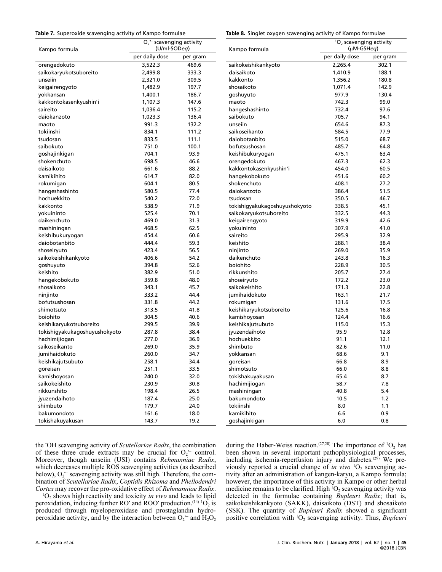# Table 7. Superoxide scavenging activity of Kampo formulae •−

Table 8. Singlet oxygen scavenging activity of Kampo formulae

| Kampo formula                 | $O_2$ scavenging activity<br>(U/ml-SODeq) |          | Kampo formula                 | ${}^{1}O_{2}$ scavenging activity<br>$(\mu M - GSHeq)$ |          |  |
|-------------------------------|-------------------------------------------|----------|-------------------------------|--------------------------------------------------------|----------|--|
|                               | per daily dose                            | per gram |                               | per daily dose                                         | per gram |  |
| orengedokuto                  | 3,522.3                                   | 469.6    | saikokeishikankyoto           | 2,265.4                                                | 302.1    |  |
| saikokaryukotsuboreito        | 2,499.8                                   | 333.3    | daisaikoto                    | 1,410.9                                                | 188.1    |  |
| unseiin                       | 2,321.0                                   | 309.5    | kakkonto                      | 1,356.2                                                | 180.8    |  |
| keigairengyoto                | 1,482.9                                   | 197.7    | shosaikoto                    | 1,071.4                                                | 142.9    |  |
| yokkansan                     | 1,400.1                                   | 186.7    | goshuyuto                     | 977.9                                                  | 130.4    |  |
| kakkontokasenkyushin'i        | 1,107.3                                   | 147.6    | maoto                         | 742.3                                                  | 99.0     |  |
| saireito                      | 1,036.4                                   | 115.2    | hangeshashinto                | 732.4                                                  | 97.6     |  |
| daiokanzoto                   | 1,023.3                                   | 136.4    | saibokuto                     | 705.7                                                  | 94.1     |  |
| maoto                         | 991.3                                     | 132.2    | unseiin                       | 654.6                                                  | 87.3     |  |
| tokiinshi                     | 834.1                                     | 111.2    | saikoseikanto                 | 584.5                                                  | 77.9     |  |
| tsudosan                      | 833.5                                     | 111.1    | daiobotanbito                 | 515.0                                                  | 68.7     |  |
| saibokuto                     | 751.0                                     | 100.1    | bofutsushosan                 | 485.7                                                  | 64.8     |  |
| goshajinkigan                 | 704.1                                     | 93.9     | keishibukuryogan              | 475.1                                                  | 63.4     |  |
| shokenchuto                   | 698.5                                     | 46.6     | orengedokuto                  | 467.3                                                  | 62.3     |  |
| daisaikoto                    | 661.6                                     | 88.2     | kakkontokasenkyushin'i        | 454.0                                                  | 60.5     |  |
| kamikihito                    | 614.7                                     | 82.0     | hangekobokuto                 | 451.6                                                  | 60.2     |  |
| rokumigan                     | 604.1                                     | 80.5     | shokenchuto                   | 408.1                                                  | 27.2     |  |
| hangeshashinto                | 580.5                                     | 77.4     | daiokanzoto                   | 386.4                                                  | 51.5     |  |
| hochuekkito                   | 540.2                                     | 72.0     | tsudosan                      | 350.5                                                  | 46.7     |  |
| kakkonto                      | 538.9                                     | 71.9     | tokishigyakukagoshuyushokyoto | 338.5                                                  | 45.1     |  |
| yokuininto                    | 525.4                                     | 70.1     | saikokaryukotsuboreito        | 332.5                                                  | 44.3     |  |
| daikenchuto                   | 469.0                                     | 31.3     | keigairengyoto                | 319.9                                                  | 42.6     |  |
| mashiningan                   | 468.5                                     | 62.5     | yokuininto                    | 307.9                                                  | 41.0     |  |
| keishibukuryogan              | 454.4                                     | 60.6     | saireito                      | 295.9                                                  | 32.9     |  |
| daiobotanbito                 | 444.4                                     | 59.3     | keishito                      | 288.1                                                  | 38.4     |  |
| shoseiryuto                   | 423.4                                     | 56.5     | ninjinto                      | 269.0                                                  | 35.9     |  |
| saikokeishikankyoto           | 406.6                                     | 54.2     | daikenchuto                   | 243.8                                                  | 16.3     |  |
| goshuyuto                     | 394.8                                     | 52.6     | boiohito                      | 228.9                                                  | 30.5     |  |
| keishito                      | 382.9                                     | 51.0     | rikkunshito                   | 205.7                                                  | 27.4     |  |
| hangekobokuto                 | 359.8                                     | 48.0     | shoseiryuto                   | 172.2                                                  | 23.0     |  |
| shosaikoto                    | 343.1                                     | 45.7     | saikokeishito                 | 171.3                                                  | 22.8     |  |
| ninjinto                      | 333.2                                     | 44.4     | jumihaidokuto                 | 163.1                                                  | 21.7     |  |
| bofutsushosan                 | 331.8                                     | 44.2     | rokumigan                     | 131.6                                                  | 17.5     |  |
| shimotsuto                    | 313.5                                     | 41.8     | keishikaryukotsuboreito       | 125.6                                                  | 16.8     |  |
| boiohito                      | 304.5                                     | 40.6     | kamishoyosan                  | 124.4                                                  | 16.6     |  |
| keishikaryukotsuboreito       | 299.5                                     | 39.9     | keishikajutsubuto             | 115.0                                                  | 15.3     |  |
| tokishigyakukagoshuyushokyoto | 287.8                                     | 38.4     | jyuzendaihoto                 | 95.9                                                   | 12.8     |  |
| hachimijiogan                 | 277.0                                     | 36.9     | hochuekkito                   | 91.1                                                   | 12.1     |  |
| saikoseikanto                 | 269.0                                     | 35.9     | shimbuto                      | 82.6                                                   | 11.0     |  |
| jumihaidokuto                 | 260.0                                     | 34.7     | yokkansan                     | 68.6                                                   | 9.1      |  |
| keishikajutsubuto             | 258.1                                     | 34.4     | goreisan                      | 66.8                                                   | 8.9      |  |
| goreisan                      | 251.1                                     | 33.5     | shimotsuto                    | 66.0                                                   | 8.8      |  |
| kamishoyosan                  | 240.0                                     | 32.0     | tokishakuyakusan              | 65.4                                                   | 8.7      |  |
| saikokeishito                 | 230.9                                     | 30.8     | hachimijiogan                 | 58.7                                                   | 7.8      |  |
| rikkunshito                   | 198.4                                     | 26.5     | mashiningan                   | 40.8                                                   | 5.4      |  |
| jyuzendaihoto                 | 187.4                                     | 25.0     | bakumondoto                   | 10.5                                                   | 1.2      |  |
| shimbuto                      | 179.7                                     | 24.0     | tokiinshi                     | 8.0                                                    | 1.1      |  |
| bakumondoto                   | 161.6                                     | 18.0     | kamikihito                    | 6.6                                                    | 0.9      |  |
| tokishakuyakusan              | 143.7                                     | 19.2     | goshajinkigan                 | 6.0                                                    | 0.8      |  |

the 'OH scavenging activity of Scutellariae Radix, the combination of these three crude extracts may be crucial for  $O_2$ <sup>-</sup> control. •<br>•− Moreover, though unseiin (USI) contains Rehmanniae Radix, which decreases multiple ROS scavenging activities (as described below),  $O_2$ <sup> $\sim$ </sup> scavenging activity was still high. Therefore, the comµ<br>re<br>•− bination of Scutellariae Radix, Coptidis Rhizoma and Phellodendri Cortex may recover the pro-oxidative effect of Rehmanniae Radix.

 ${}^{1}O_{2}$  shows high reactivity and toxicity *in vivo* and leads to lipid peroxidation, inducing further RO<sup> $\cdot$ </sup> and ROO $\cdot$  production.<sup>(14)</sup> <sup>1</sup>O<sub>2</sub> is produced through myeloperoxidase and prostaglandin hydroperoxidase activity, and by the interaction between  $O_2$ <sup>-</sup> and  $H_2O_2$ a¤<br>¤<br>d

during the Haber-Weiss reaction.<sup>(27,28)</sup> The importance of  ${}^{1}O_{2}$  has been shown in several important pathophysiological processes, including ischemia-reperfusion injury and diabetes.(29) We previously reported a crucial change of in vivo  ${}^{1}O_{2}$  scavenging activity after an administration of kangen-karyu, a Kampo formula; however, the importance of this activity in Kampo or other herbal medicine remains to be clarified. High  ${}^{1}O_{2}$  scavenging activity was detected in the formulae containing Bupleuri Radix; that is, saikokeishikankyoto (SAKK), daisaikoto (DST) and shosaikoto (SSK). The quantity of Bupleuri Radix showed a significant positive correlation with  ${}^{1}O_{2}$  scavenging activity. Thus, *Bupleuri*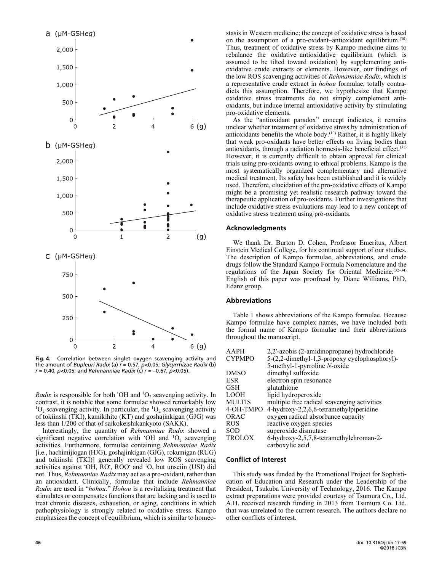

Fig. 4. Correlation between singlet oxygen scavenging activity and the amount of Bupleuri Radix (a)  $r = 0.57$ , p<0.05; Glycyrrhizae Radix (b)  $r = 0.40$ ,  $p < 0.05$ ; and Rehmanniae Radix (c)  $r = -0.67$ ,  $p < 0.05$ ).

Radix is responsible for both 'OH and  ${}^{1}O_{2}$  scavenging activity. In contrast, it is notable that some formulae showed remarkably low  ${}^{1}O_{2}$  scavenging activity. In particular, the  ${}^{1}O_{2}$  scavenging activity of tokiinshi (TKI), kamikihito (KT) and goshajinkigan (GJG) was less than 1/200 of that of saikokeishikankyoto (SAKK).

Interestingly, the quantity of Rehmanniae Radix showed a significant negative correlation with OH and  ${}^{1}O_{2}$  scavenging activities. Furthermore, formulae containing Rehmanniae Radix [i.e., hachimijiogan (HJG), goshajinkigan (GJG), rokumigan (RUG) and tokiinshi (TKI)] generally revealed low ROS scavenging activities against 'OH, RO', ROO' and <sup>1</sup>O, but unseiin (USI) did not. Thus, Rehmanniae Radix may act as a pro-oxidant, rather than an antioxidant. Clinically, formulae that include Rehmanniae Radix are used in "hohou." Hohou is a revitalizing treatment that stimulates or compensates functions that are lacking and is used to treat chronic diseases, exhaustion, or aging, conditions in which pathophysiology is strongly related to oxidative stress. Kampo emphasizes the concept of equilibrium, which is similar to homeostasis in Western medicine; the concept of oxidative stress is based on the assumption of a pro-oxidant–antioxidant equilibrium.(30) Thus, treatment of oxidative stress by Kampo medicine aims to rebalance the oxidative–antioxidative equilibrium (which is assumed to be tilted toward oxidation) by supplementing antioxidative crude extracts or elements. However, our findings of the low ROS scavenging activities of Rehmanniae Radix, which is a representative crude extract in hohou formulae, totally contradicts this assumption. Therefore, we hypothesize that Kampo oxidative stress treatments do not simply complement antioxidants, but induce internal antioxidative activity by stimulating pro-oxidative elements.

As the "antioxidant paradox" concept indicates, it remains unclear whether treatment of oxidative stress by administration of antioxidants benefits the whole body.<sup>(10)</sup> Rather, it is highly likely that weak pro-oxidants have better effects on living bodies than antioxidants, through a radiation hormesis-like beneficial effect.(31) However, it is currently difficult to obtain approval for clinical trials using pro-oxidants owing to ethical problems. Kampo is the most systematically organized complementary and alternative medical treatment. Its safety has been established and it is widely used. Therefore, elucidation of the pro-oxidative effects of Kampo might be a promising yet realistic research pathway toward the therapeutic application of pro-oxidants. Further investigations that include oxidative stress evaluations may lead to a new concept of oxidative stress treatment using pro-oxidants.

#### Acknowledgments

We thank Dr. Burton D. Cohen, Professor Emeritus, Albert Einstein Medical College, for his continual support of our studies. The description of Kampo formulae, abbreviations, and crude drugs follow the Standard Kampo Formula Nomenclature and the regulations of the Japan Society for Oriental Medicine.<sup>(32-34)</sup> English of this paper was proofread by Diane Williams, PhD, Edanz group.

## Abbreviations

Table 1 shows abbreviations of the Kampo formulae. Because Kampo formulae have complex names, we have included both the formal name of Kampo formulae and their abbreviations throughout the manuscript.

| <b>AAPH</b>   | 2,2'-azobis (2-amidinopropane) hydrochloride  |
|---------------|-----------------------------------------------|
| <b>CYPMPO</b> | 5-(2,2-dimethyl-1,3-propoxy cyclophosphoryl)- |
|               | 5-methyl-1-pyrroline N-oxide                  |
| <b>DMSO</b>   | dimethyl sulfoxide                            |
| <b>ESR</b>    | electron spin resonance                       |
| <b>GSH</b>    | glutathione                                   |
| <b>LOOH</b>   | lipid hydroperoxide                           |
| <b>MULTIS</b> | multiple free radical scavenging activities   |
| 4-OH-TMPO     | 4-hydroxy-2,2,6,6-tetramethylpiperidine       |
| ORAC          | oxygen radical absorbance capacity            |
| <b>ROS</b>    | reactive oxygen species                       |
| <b>SOD</b>    | superoxide dismutase                          |
| <b>TROLOX</b> | 6-hydroxy-2,5,7,8-tetramethylchroman-2-       |
|               | carboxylic acid                               |

#### Conflict of Interest

This study was funded by the Promotional Project for Sophistication of Education and Research under the Leadership of the President, Tsukuba University of Technology, 2016. The Kampo extract preparations were provided courtesy of Tsumura Co., Ltd. A.H. received research funding in 2013 from Tsumura Co. Ltd. that was unrelated to the current research. The authors declare no other conflicts of interest.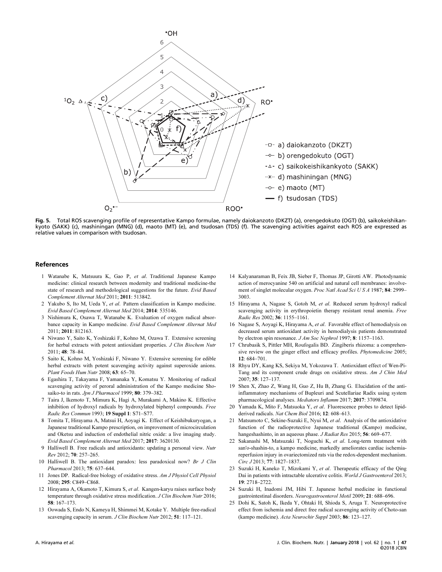

Fig. 5. Total ROS scavenging profile of representative Kampo formulae, namely daiokanzoto (DKZT) (a), orengedokuto (OGT) (b), saikokeishikan kyoto (SAKK) (c), mashiningan (MNG) (d), maoto (MT) (e), and tsudosan (TDS) (f). The scavenging activities against each ROS are expressed as relative values in comparison with tsudosan.

#### References

- 1 Watanabe K, Matsuura K, Gao P, et al. Traditional Japanese Kampo medicine: clinical research between modernity and traditional medicine-the state of research and methodological suggestions for the future. Evid Based Complement Alternat Med 2011; 2011: 513842.
- 2 Yakubo S, Ito M, Ueda Y, et al. Pattern classification in Kampo medicine. Evid Based Complement Alternat Med 2014; 2014: 535146.
- 3 Nishimura K, Osawa T, Watanabe K. Evaluation of oxygen radical absorbance capacity in Kampo medicine. Evid Based Complement Alternat Med 2011; 2011: 812163.
- 4 Niwano Y, Saito K, Yoshizaki F, Kohno M, Ozawa T. Extensive screening for herbal extracts with potent antioxidant properties. J Clin Biochem Nutr 2011; 48: 78–84.
- 5 Saito K, Kohno M, Yoshizaki F, Niwano Y. Extensive screening for edible herbal extracts with potent scavenging activity against superoxide anions. Plant Foods Hum Nutr 2008; 63: 65–70.
- 6 Egashira T, Takayama F, Yamanaka Y, Komatsu Y. Monitoring of radical scavenging activity of peroral administration of the Kampo medicine Shosaiko-to in rats. Jpn J Pharmacol 1999; 80: 379-382.
- 7 Taira J, Ikemoto T, Mimura K, Hagi A, Murakami A, Makino K. Effective inhibition of hydroxyl radicals by hydroxylated biphenyl compounds. Free Radic Res Commun 1993; 19 Suppl 1: S71–S77.
- 8 Tomita T, Hirayama A, Matsui H, Aoyagi K. Effect of Keishibukuryogan, a Japanese traditional Kampo prescription, on improvement of microcirculation and Oketsu and induction of endothelial nitric oxide: a live imaging study. Evid Based Complement Alternat Med 2017; 2017: 3620130.
- 9 Halliwell B. Free radicals and antioxidants: updating a personal view. Nutr Rev 2012; 70: 257–265.
- 10 Halliwell B. The antioxidant paradox: less paradoxical now? Br J Clin Pharmacol 2013; 75: 637–644.
- 11 Jones DP. Radical-free biology of oxidative stress. Am J Physiol Cell Physiol 2008; 295: C849–C868.
- 12 Hirayama A, Okamoto T, Kimura S, et al. Kangen-karyu raises surface body temperature through oxidative stress modification. *J Clin Biochem Nutr* 2016; 58: 167–173.
- 13 Oowada S, Endo N, Kameya H, Shimmei M, Kotake Y. Multiple free-radical scavenging capacity in serum. J Clin Biochem Nutr 2012; 51: 117–121.
- 14 Kalyanaraman B, Feix JB, Sieber F, Thomas JP, Girotti AW. Photodynamic action of merocyanine 540 on artificial and natural cell membranes: involvement of singlet molecular oxygen. Proc Natl Acad Sci U S A 1987; 84: 2999– 3003.
- 15 Hirayama A, Nagase S, Gotoh M, et al. Reduced serum hydroxyl radical scavenging activity in erythropoietin therapy resistant renal anemia. Free Radic Res 2002; 36: 1155–1161.
- 16 Nagase S, Aoyagi K, Hirayama A, et al. Favorable effect of hemodialysis on decreased serum antioxidant activity in hemodialysis patients demonstrated by electron spin resonance. J Am Soc Nephrol 1997; 8: 1157–1163.
- 17 Chrubasik S, Pittler MH, Roufogalis BD. Zingiberis rhizoma: a comprehensive review on the ginger effect and efficacy profiles. Phytomedicine 2005; 12: 684–701.
- 18 Rhyu DY, Kang KS, Sekiya M, Yokozawa T. Antioxidant effect of Wen-Pi-Tang and its component crude drugs on oxidative stress. Am J Chin Med 2007; 35: 127–137.
- 19 Shen X, Zhao Z, Wang H, Guo Z, Hu B, Zhang G. Elucidation of the antiinflammatory mechanisms of Bupleuri and Scutellariae Radix using system pharmacological analyses. Mediators Inflamm 2017; 2017: 3709874.
- 20 Yamada K, Mito F, Matsuoka Y, et al. Fluorescence probes to detect lipidderived radicals. Nat Chem Biol 2016; 12: 608-613.
- 21 Matsumoto C, Sekine-Suzuki E, Nyui M, et al. Analysis of the antioxidative function of the radioprotective Japanese traditional (Kampo) medicine, hangeshashinto, in an aqueous phase. *J Radiat Res* 2015; **56**: 669–677.
- 22 Sakanashi M, Matsuzaki T, Noguchi K, et al. Long-term treatment with san'o-shashin-to, a kampo medicine, markedly ameliorates cardiac ischemiareperfusion injury in ovariectomized rats via the redox-dependent mechanism. Circ J 2013; 77: 1827–1837.
- 23 Suzuki H, Kaneko T, Mizokami Y, et al. Therapeutic efficacy of the Qing Dai in patients with intractable ulcerative colitis. *World J Gastroenterol* 2013; 19: 2718–2722.
- 24 Suzuki H, Inadomi JM, Hibi T. Japanese herbal medicine in functional gastrointestinal disorders. Neurogastroenterol Motil 2009; 21: 688–696.
- 25 Dohi K, Satoh K, Ikeda Y, Ohtaki H, Shioda S, Aruga T. Neuroprotective effect from ischemia and direct free radical scavenging activity of Choto-san (kampo medicine). Acta Neurochir Suppl 2003; 86: 123–127.